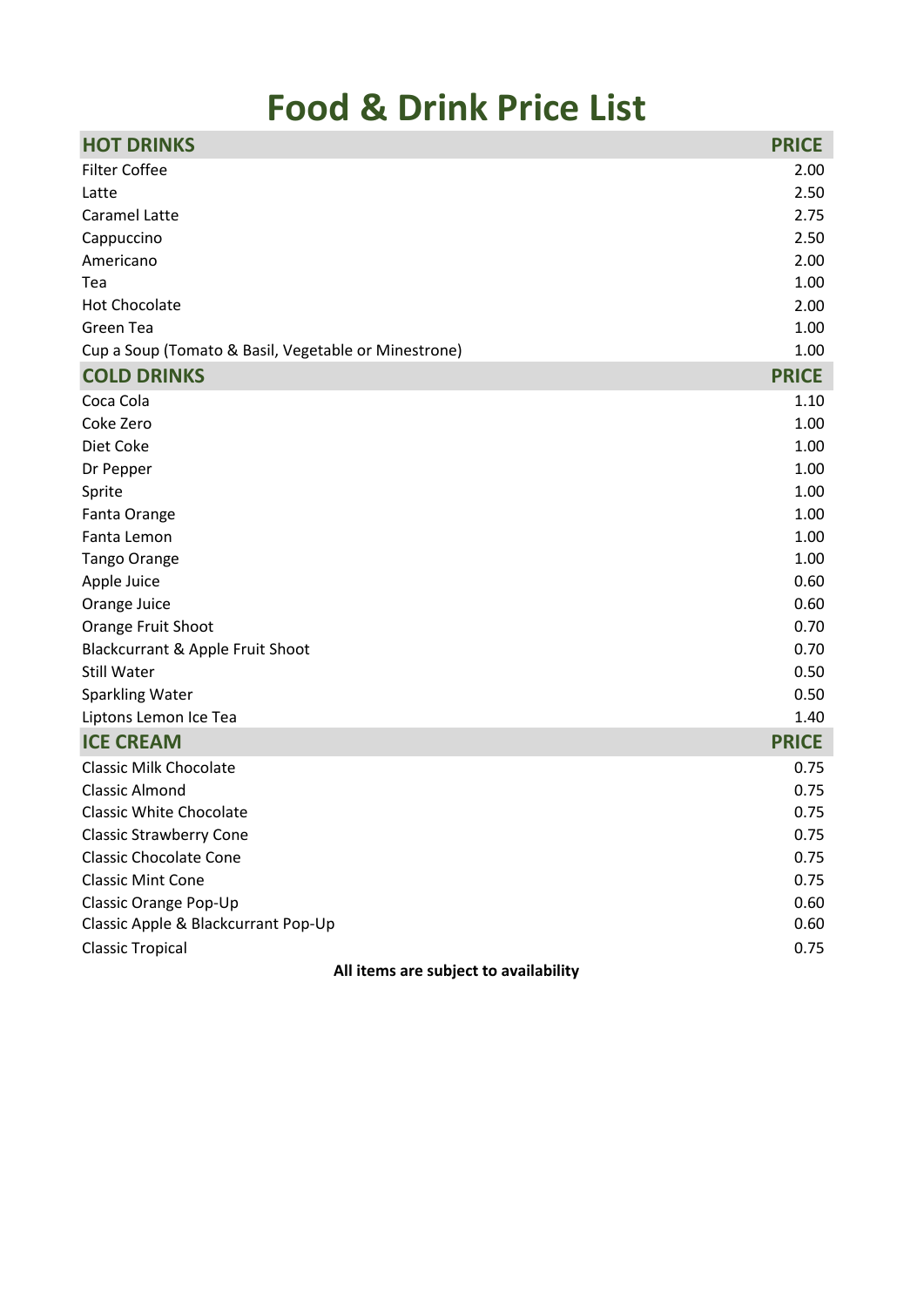## **Food & Drink Price List**

| <b>HOT DRINKS</b>                                    | <b>PRICE</b> |
|------------------------------------------------------|--------------|
| <b>Filter Coffee</b>                                 | 2.00         |
| Latte                                                | 2.50         |
| Caramel Latte                                        | 2.75         |
| Cappuccino                                           | 2.50         |
| Americano                                            | 2.00         |
| Tea                                                  | 1.00         |
| <b>Hot Chocolate</b>                                 | 2.00         |
| Green Tea                                            | 1.00         |
| Cup a Soup (Tomato & Basil, Vegetable or Minestrone) | 1.00         |
| <b>COLD DRINKS</b>                                   | <b>PRICE</b> |
| Coca Cola                                            | 1.10         |
| Coke Zero                                            | 1.00         |
| Diet Coke                                            | 1.00         |
| Dr Pepper                                            | 1.00         |
| Sprite                                               | 1.00         |
| Fanta Orange                                         | 1.00         |
| Fanta Lemon                                          | 1.00         |
| <b>Tango Orange</b>                                  | 1.00         |
| Apple Juice                                          | 0.60         |
| Orange Juice                                         | 0.60         |
| Orange Fruit Shoot                                   | 0.70         |
| Blackcurrant & Apple Fruit Shoot                     | 0.70         |
| Still Water                                          | 0.50         |
| <b>Sparkling Water</b>                               | 0.50         |
| Liptons Lemon Ice Tea                                | 1.40         |
| <b>ICE CREAM</b>                                     | <b>PRICE</b> |
| <b>Classic Milk Chocolate</b>                        | 0.75         |
| <b>Classic Almond</b>                                | 0.75         |
| <b>Classic White Chocolate</b>                       | 0.75         |
| <b>Classic Strawberry Cone</b>                       | 0.75         |
| <b>Classic Chocolate Cone</b>                        | 0.75         |
| <b>Classic Mint Cone</b>                             | 0.75         |
| Classic Orange Pop-Up                                | 0.60         |
| Classic Apple & Blackcurrant Pop-Up                  | 0.60         |
| <b>Classic Tropical</b>                              | 0.75         |

**All items are subject to availability**